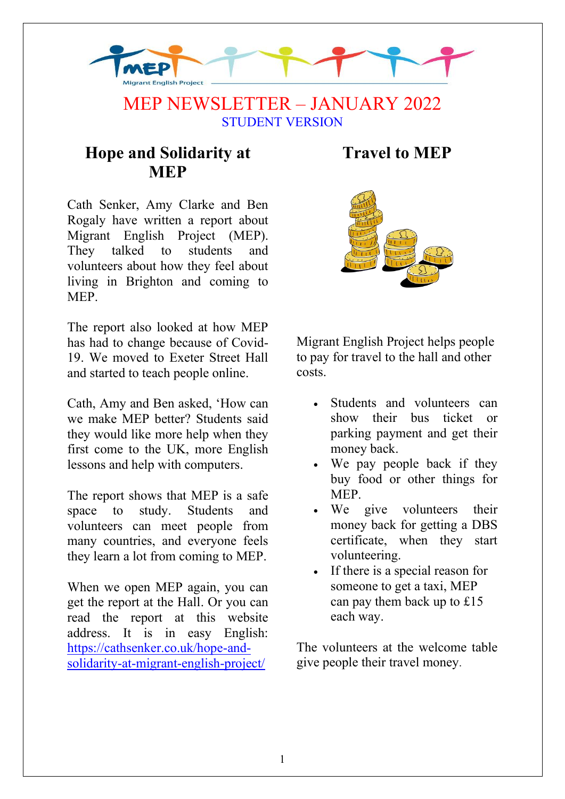

### MEP NEWSLETTER – JANUARY 2022 STUDENT VERSION

### **Hope and Solidarity at MEP**

Cath Senker, Amy Clarke and Ben Rogaly have written a report about Migrant English Project (MEP). They talked to students and volunteers about how they feel about living in Brighton and coming to MEP.

The report also looked at how MEP has had to change because of Covid-19. We moved to Exeter Street Hall and started to teach people online.

Cath, Amy and Ben asked, 'How can we make MEP better? Students said they would like more help when they first come to the UK, more English lessons and help with computers.

The report shows that MEP is a safe space to study. Students and volunteers can meet people from many countries, and everyone feels they learn a lot from coming to MEP.

When we open MEP again, you can get the report at the Hall. Or you can read the report at this website address. It is in easy English: [https://cathsenker.co.uk/hope-and](https://cathsenker.co.uk/hope-and-solidarity-at-migrant-english-project/)[solidarity-at-migrant-english-project/](https://cathsenker.co.uk/hope-and-solidarity-at-migrant-english-project/)

## **Travel to MEP**



Migrant English Project helps people to pay for travel to the hall and other costs.

- Students and volunteers can show their bus ticket or parking payment and get their money back.
- We pay people back if they buy food or other things for MEP.
- We give volunteers their money back for getting a DBS certificate, when they start volunteering.
- If there is a special reason for someone to get a taxi, MEP can pay them back up to £15 each way.

The volunteers at the welcome table give people their travel money.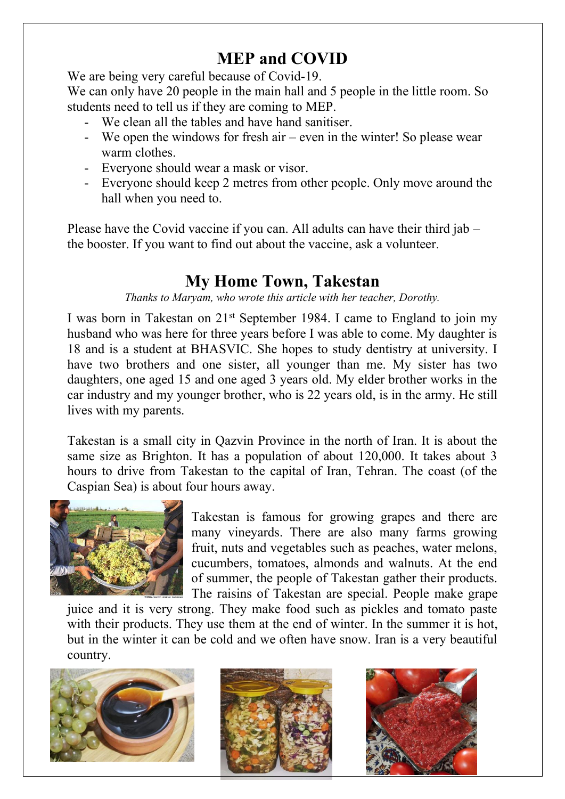# **MEP and COVID**

We are being very careful because of Covid-19.

We can only have 20 people in the main hall and 5 people in the little room. So students need to tell us if they are coming to MEP.

- We clean all the tables and have hand sanitiser.
- We open the windows for fresh air even in the winter! So please wear warm clothes.
- Everyone should wear a mask or visor.
- Everyone should keep 2 metres from other people. Only move around the hall when you need to.

Please have the Covid vaccine if you can. All adults can have their third jab – the booster. If you want to find out about the vaccine, ask a volunteer.

### **My Home Town, Takestan**

*Thanks to Maryam, who wrote this article with her teacher, Dorothy.* 

I was born in Takestan on 21st September 1984. I came to England to join my husband who was here for three years before I was able to come. My daughter is 18 and is a student at BHASVIC. She hopes to study dentistry at university. I have two brothers and one sister, all younger than me. My sister has two daughters, one aged 15 and one aged 3 years old. My elder brother works in the car industry and my younger brother, who is 22 years old, is in the army. He still lives with my parents.

Takestan is a small city in Qazvin Province in the north of Iran. It is about the same size as Brighton. It has a population of about 120,000. It takes about 3 hours to drive from Takestan to the capital of Iran, Tehran. The coast (of the Caspian Sea) is about four hours away.



Takestan is famous for growing grapes and there are many vineyards. There are also many farms growing fruit, nuts and vegetables such as peaches, water melons, cucumbers, tomatoes, almonds and walnuts. At the end of summer, the people of Takestan gather their products. The raisins of Takestan are special. People make grape

juice and it is very strong. They make food such as pickles and tomato paste with their products. They use them at the end of winter. In the summer it is hot, but in the winter it can be cold and we often have snow. Iran is a very beautiful country.

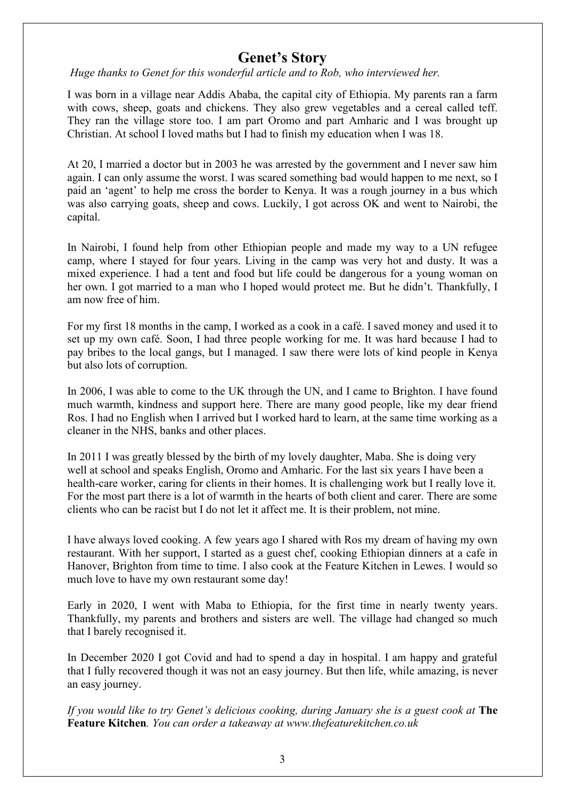#### **Genet's Story**

 *Huge thanks to Genet for this wonderful article and to Rob, who interviewed her.* 

I was born in a village near Addis Ababa, the capital city of Ethiopia. My parents ran a farm with cows, sheep, goats and chickens. They also grew vegetables and a cereal called teff. They ran the village store too. I am part Oromo and part Amharic and I was brought up Christian. At school I loved maths but I had to finish my education when I was 18.

At 20, I married a doctor but in 2003 he was arrested by the government and I never saw him again. I can only assume the worst. I was scared something bad would happen to me next, so I paid an 'agent' to help me cross the border to Kenya. It was a rough journey in a bus which was also carrying goats, sheep and cows. Luckily, I got across OK and went to Nairobi, the capital.

In Nairobi, I found help from other Ethiopian people and made my way to a UN refugee camp, where I stayed for four years. Living in the camp was very hot and dusty. It was a mixed experience. I had a tent and food but life could be dangerous for a young woman on her own. I got married to a man who I hoped would protect me. But he didn't. Thankfully, I am now free of him.

For my first 18 months in the camp, I worked as a cook in a café. I saved money and used it to set up my own café. Soon, I had three people working for me. It was hard because I had to pay bribes to the local gangs, but I managed. I saw there were lots of kind people in Kenya but also lots of corruption.

In 2006, I was able to come to the UK through the UN, and I came to Brighton. I have found much warmth, kindness and support here. There are many good people, like my dear friend Ros. I had no English when I arrived but I worked hard to learn, at the same time working as a cleaner in the NHS, banks and other places.

In 2011 I was greatly blessed by the birth of my lovely daughter, Maba. She is doing very well at school and speaks English, Oromo and Amharic. For the last six years I have been a health-care worker, caring for clients in their homes. It is challenging work but I really love it. For the most part there is a lot of warmth in the hearts of both client and carer. There are some clients who can be racist but I do not let it affect me. It is their problem, not mine.

I have always loved cooking. A few years ago I shared with Ros my dream of having my own restaurant. With her support, I started as a guest chef, cooking Ethiopian dinners at a cafe in Hanover, Brighton from time to time. I also cook at the Feature Kitchen in Lewes. I would so much love to have my own restaurant some day!

Early in 2020, I went with Maba to Ethiopia, for the first time in nearly twenty years. Thankfully, my parents and brothers and sisters are well. The village had changed so much that I barely recognised it.

In December 2020 I got Covid and had to spend a day in hospital. I am happy and grateful that I fully recovered though it was not an easy journey. But then life, while amazing, is never an easy journey.

*If you would like to try Genet's delicious cooking, during January she is a guest cook at* **The Feature Kitchen***. You can order a takeaway at www.thefeaturekitchen.co.uk*